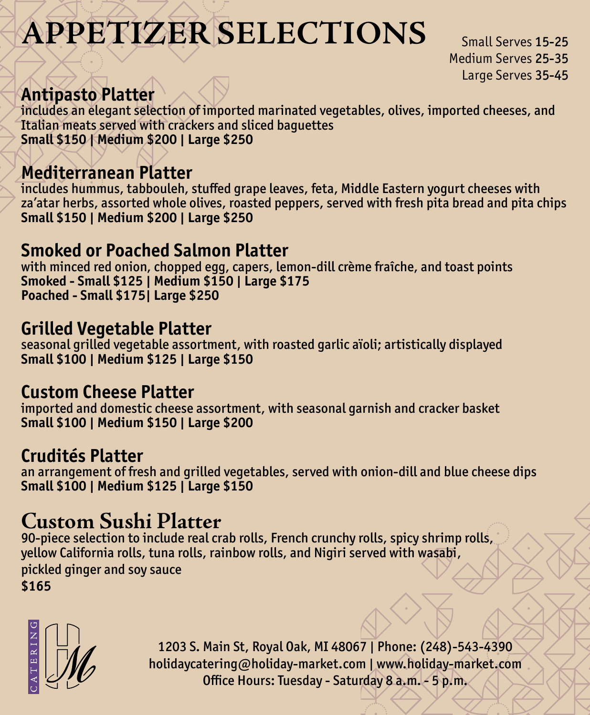# **APPETIZER SELECTIONS**

Small Serves 15-25 Medium Serves 25-35 Large Serves 35-45

## **Antipasto Platter**

includes an elegant selection of imported marinated vegetables, olives, imported cheeses, and Italian meats served with crackers and sliced baguettes **Small \$150 | Medium \$200 | Large \$250**

## **Mediterranean Platter**

includes hummus, tabbouleh, stuffed grape leaves, feta, Middle Eastern yogurt cheeses with za'atar herbs, assorted whole olives, roasted peppers, served with fresh pita bread and pita chips **Small \$150 | Medium \$200 | Large \$250**

## **Smoked or Poached Salmon Platter**

with minced red onion, chopped egg, capers, lemon-dill crème fraîche, and toast points **Smoked - Small \$125 | Medium \$150 | Large \$175 Poached - Small \$175| Large \$250** 

#### **Grilled Vegetable Platter**

seasonal grilled vegetable assortment, with roasted garlic aïoli; artistically displayed **Small \$100 | Medium \$125 | Large \$150**

#### **Custom Cheese Platter**

imported and domestic cheese assortment, with seasonal garnish and cracker basket **Small \$100 | Medium \$150 | Large \$200**

#### **Crudités Platter**

an arrangement of fresh and grilled vegetables, served with onion-dill and blue cheese dips **Small \$100 | Medium \$125 | Large \$150**

## **Custom Sushi Platter**

90-piece selection to include real crab rolls, French crunchy rolls, spicy shrimp rolls, yellow California rolls, tuna rolls, rainbow rolls, and Nigiri served with wasabi, pickled ginger and soy sauce **\$165**



1203 S. Main St, Royal Oak, MI 48067 | Phone: (248)-543-4390 holidaycatering@holiday-market.com | www.holiday-market.com Office Hours: Tuesday - Saturday 8 a.m. - 5 p.m.